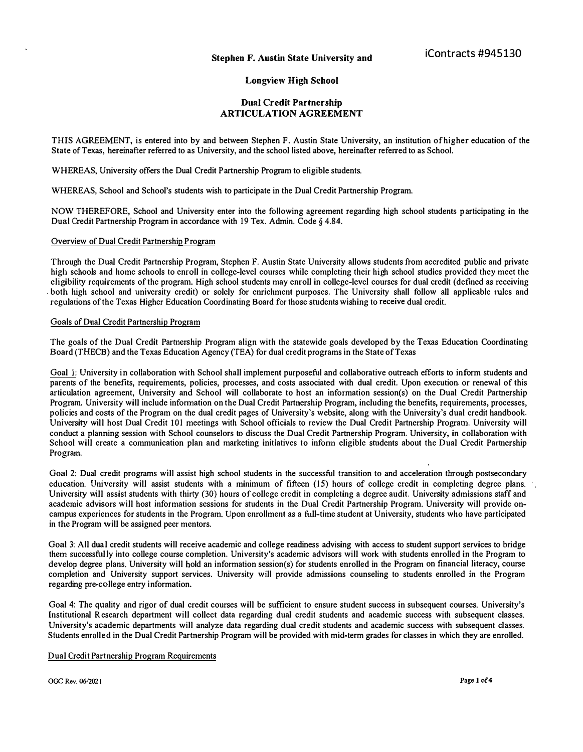# **Longview High School**

## **Dual Credit Partnership ARTICULATION AGREEMENT**

**THIS AGREEMENT, is entered into by and between Stephen F. Austin State University, an institution of higher education of the State of Texas, hereinafter referred to as University, and the school listed above, hereinafter referred to as School.** 

**WHEREAS, University offers the Dual Credit Partnership Program to eligible students.** 

**WHEREAS, School and School's students wish to participate in the Dual Credit Partnership Program.** 

NOW THEREFORE, School and University enter into the following agreement regarding high school students participating in the **Dual Credit Partnership Program in accordance with 19 Tex. Admin. Code § 4.84.** 

## **Overview of Dual Credit Partnership Program**

**Through the Dual Credit Partnership Program, Stephen F. Austin State University allows students from accredited public and private high schools and home schools to enroll in college-level courses while completing their high school studies provided they meet the eligibility requirements of the program. High school students may enroll in college-level courses for dual credit (defined as receiving . both high school and university credit) or solely for enrichment purposes. The University shall follow all applicable rules and regulations of the Texas Higher Education Coordinating Board for those students wishing to receive dual credit.** 

#### **Goals of Dual Credit Partnership Program**

**The goals of the Dual Credit Partnership Program align with the statewide goals developed by the Texas Education Coordinating Board (THECB) and the Texas Education Agency (TEA) for dual credit programs in the State of Texas** 

**Goal 1: University in collaboration with School shall implement purposeful and collaborative outreach efforts to inform students and parents of the benefits, requirements, policies, processes, and costs associated with dual credit. Upon execution. or renewal of this articulation agreement, University and School will collaborate to host an information session(s) on the Dual Credit Partnership Program. University will include information on the Dual Credit Partnership Program, including the benefits***,* **requirements, processes, policies and costs of the Program on the dual credit pages of University's website, along with the University's dual credit handbook. University will host Dual Credit 101 meetings with School officials to review the Dual Credit Partnership Program. University will conduct a planning session with School counselors to discuss the Dual Credit Partnership Program. University, in collaboration with School will create a communication plan and marketing initiatives to inform eligible students about the Dual Credit Partnership Program.** 

**Goal 2: Dual credit programs will assist high school students in the successful transition to and acceleration through postsecondary**  education. University will assist students with a minimum of fifteen (15) hours of college credit in completing degree plans. **University will assist students with thirty (30) hours of college credit in completing a degree audit. University admissions staff and academic advisors will host information sessions for students in the Dual Credit Partnership Program. University will provide oncampus experiences for students in the Program. Upon enrollment as a full-time student at University, students who have participated in the Program will be assigned peer mentors.** 

Goal 3: All dual credit students will receive academic and college readiness advising with access to student support services to bridge **them successful ly into college course completion. University's academic advisors will work with students enrolled in the Program to develop degree plans. University will hold an information session{s) for students enrolled in the Program on financial literacy, course completion and University support services. University will provide admissions counseling to students enrolled in the Program regarding pre-college entry information.** 

**Goal 4: The quality and rigor of dual credit courses will be sufficient to ensure student success in subsequent courses. University's Institutional Research department will collect data regarding dual credit students and academic success with subsequent classes. University's academic departments will analyze data regarding dual credit students and academic success with subsequent classes. Students enrolled in the Dual Credit Partnership Program will be provided with mid-term grades for classes in which they are enrolled.** 

### **Dual Credit Partnership Program Requirements**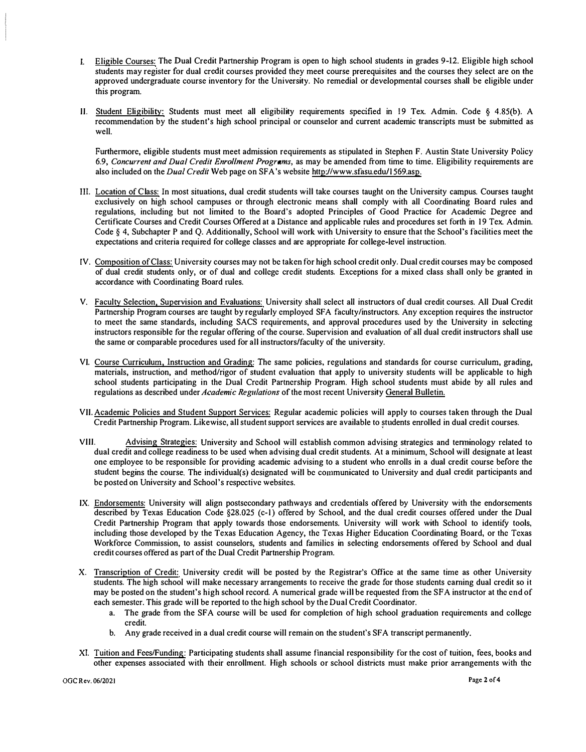- I. Eligible Courses: The Dual Credit Partnership Program is open to high school students in grades 9-12. Eligible high school students may register for dual credit courses provided they meet course prerequisites and the courses they select are on the approved undergraduate course inventory for the University. No remedial or developmental courses shall be eligible under this program.
- II. Student Eligibility: Students must meet all eligibility requirements specified in 19 Tex. Admin. Code § 4.85(b). A recommendation by the student's high school principal or counselor and current academic transcripts must be submitted as well.

Furthermore, eligible students must meet admission requirements as stipulated in Stephen F. Austin State University Policy 6.9, *Concurrent and Dual Credit Enrollment Programs,* as may be amended from time to time. Eligibility requirements are also included on the *Dual Credit* Web page on SFA 's website http://www.sfasu.edu/1 569.asp.

- III. Location of Class: In most situations, dual credit students will take courses taught on the University campus. Courses taught exclusively on high school campuses or through electronic means shall comply with all Coordinating Board rules and regulations, including but not limited to the Board's adopted Principles of Good Practice for Academic Degree and Certificate Courses and Credit Courses Offered at a Distance and applicable rules and procedures set forth in 19 Tex. Admin. Code § 4, Subchapter P and Q. Additionally, School will work with University to ensure that the School's facilities meet the expectations and criteria required for college classes and are appropriate for college-level instruction.
- IV. Composition of Class: University courses may not be taken for high school credit only. Dual credit courses may be composed of dual credit students only, or of dual and college credit students. Exceptions for a mixed class shall only be granted in accordance with Coordinating Board rules.
- V. Faculty Selection, Supervision and Evaluations: University shall select all instructors of dual credit courses. All Dual Credit Partnership Program courses are taught by regularly employed SFA faculty/instructors. Any exception requires the instructor to meet the same standards, including SACS requirements, and approval procedures used by the University in selecting instructors responsible for the regular offering of the course. Supervision and evaluation of all dual credit instructors shall use the same or comparable procedures used for all instructors/faculty of the university.
- VI. Course Curriculum. Instruction and Grading: The same policies, regulations and standards for course curriculum, grading, materials, instruction, and method/rigor of student evaluation that apply to university students will be applicable to high school students participating in the Dual Credit Partnership Program. High school students must abide by all rules and regulations as described under *Academic Regulations* of the most recent University General Bulletin.
- VII. Academic Policies and Student Support Services: Regular academic policies will apply to courses taken through the Dual Credit Partnership Program. Likewise, all student support services are available to students enrolled in dual credit courses.
- VIII. Advising Strategies: University and School will establish common advising strategics and tenninology related to dual credit and college readiness to be used when advising dual credit students. At a minimum, School will designate at least one employee to be responsible for providing academic advising to a student who enrolls in a dual credit course before the student begins the course. The individual(s) designated will be communicated to University and dual credit participants and be posted on University and School's respective websites.
- IX. Endorsements: University will align postsecondary pathways and credentials offered by University with the endorsements described by Texas Education Code §28.025 (c-1) offered by School, and the dual credit courses offered under the Dual Credit Partnership Program that apply towards those endorsements. University will work with School to identify tools, including those developed by the Texas Education Agency, the Texas Higher Education Coordinating Board, or the Texas Workforce Commission, to assist counselors, students and families in selecting endorsements offered by School and dual credit courses offered as part of the Dual Credit Partnership Program.
- X. Transcription of Credit: University credit will be posted by the Registrar's Office at the same time as other University students. The high school will make necessary arrangements to receive the grade for those students earning dual credit so it may be posted on the student's high school record. A numerical grade will be requested from the SFA instructor at the end of each semester. This grade will be reported to the high school by the Dual Credit Coordinator.
	- a. The grade from the SFA course will be used for completion of high school graduation requirements and college credit.
	- b, Any grade received in a dual credit course will remain on the student's SFA transcript permanently.
- XI. Tuition and Fees/Funding: Participating students shall assume financial responsibility for the cost of tuition, fees, books and other expenses associated with their enrollment. High schools or school districts must make prior arrangements with the